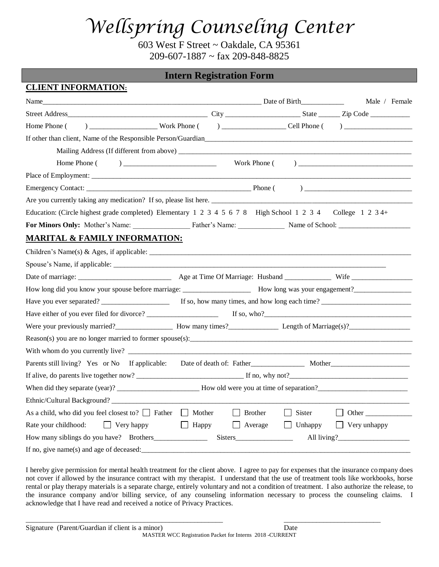603 West F Street ~ Oakdale, CA 95361  $209 - 607 - 1887 \approx \text{fax } 209 - 848 - 8825$ 

### **Intern Registration Form**

**CLIENT INFORMATION:**

| <u>CLIENI INFORMATION:</u>                                                                                                                                                                                                                        |                |                |                                    |
|---------------------------------------------------------------------------------------------------------------------------------------------------------------------------------------------------------------------------------------------------|----------------|----------------|------------------------------------|
|                                                                                                                                                                                                                                                   |                |                | Male / Female                      |
|                                                                                                                                                                                                                                                   |                |                |                                    |
| Home Phone (                                                                                                                                                                                                                                      |                |                |                                    |
| If other than client, Name of the Responsible Person/Guardian expression of the Responsible Person/Guardian                                                                                                                                       |                |                |                                    |
|                                                                                                                                                                                                                                                   |                |                |                                    |
|                                                                                                                                                                                                                                                   |                |                |                                    |
|                                                                                                                                                                                                                                                   |                |                |                                    |
|                                                                                                                                                                                                                                                   |                |                |                                    |
| Are you currently taking any medication? If so, please list here.                                                                                                                                                                                 |                |                |                                    |
| Education: (Circle highest grade completed) Elementary 1 2 3 4 5 6 7 8 High School 1 2 3 4 College 1 2 3 4+                                                                                                                                       |                |                |                                    |
| For Minors Only: Mother's Name: Father's Name: Name: Name of School: 2011 - 2021                                                                                                                                                                  |                |                |                                    |
| <b>MARITAL &amp; FAMILY INFORMATION:</b>                                                                                                                                                                                                          |                |                |                                    |
| Children's Name(s) & Ages, if applicable: $\frac{1}{2}$ methods are not applicable in the set of $\frac{1}{2}$ methods and $\frac{1}{2}$ methods are not applicable in the set of $\frac{1}{2}$ methods are not applicable in the set of $\frac{$ |                |                |                                    |
|                                                                                                                                                                                                                                                   |                |                |                                    |
|                                                                                                                                                                                                                                                   |                |                |                                    |
|                                                                                                                                                                                                                                                   |                |                |                                    |
|                                                                                                                                                                                                                                                   |                |                |                                    |
|                                                                                                                                                                                                                                                   |                |                |                                    |
| Were your previously married?<br>Mow many times?<br>Mow many times and the Length of Marriage(s)?<br>Marriage(s)?                                                                                                                                 |                |                |                                    |
|                                                                                                                                                                                                                                                   |                |                |                                    |
|                                                                                                                                                                                                                                                   |                |                |                                    |
| Parents still living? Yes or No If applicable:                                                                                                                                                                                                    |                |                |                                    |
|                                                                                                                                                                                                                                                   |                |                |                                    |
|                                                                                                                                                                                                                                                   |                |                |                                    |
|                                                                                                                                                                                                                                                   |                |                |                                    |
| As a child, who did you feel closest to? $\Box$ Father $\Box$ Mother                                                                                                                                                                              | $\Box$ Brother | $\Box$ Sister  | Other<br>$\perp$                   |
| Rate your childhood: Very happy<br>$\Box$ Happy                                                                                                                                                                                                   |                | $\Box$ Average | $\Box$ Unhappy $\Box$ Very unhappy |
|                                                                                                                                                                                                                                                   |                |                |                                    |
|                                                                                                                                                                                                                                                   |                |                |                                    |

I hereby give permission for mental health treatment for the client above. I agree to pay for expenses that the insurance company does not cover if allowed by the insurance contract with my therapist. I understand that the use of treatment tools like workbooks, horse rental or play therapy materials is a separate charge, entirely voluntary and not a condition of treatment. I also authorize the release, to the insurance company and/or billing service, of any counseling information necessary to process the counseling claims. I acknowledge that I have read and received a notice of Privacy Practices.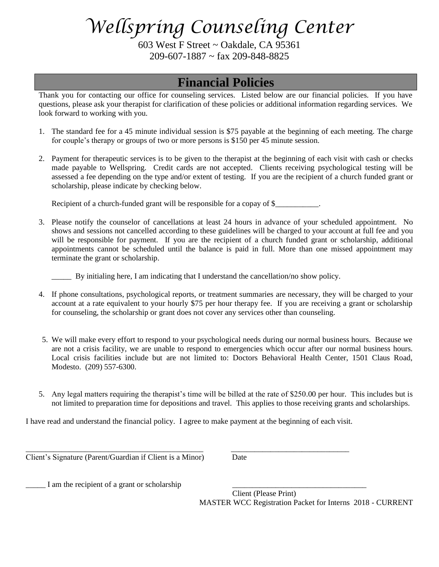603 West F Street ~ Oakdale, CA 95361  $209 - 607 - 1887 \approx \text{far } 209 - 848 - 8825$ 

## **Financial Policies**

Thank you for contacting our office for counseling services. Listed below are our financial policies. If you have questions, please ask your therapist for clarification of these policies or additional information regarding services. We look forward to working with you.

- 1. The standard fee for a 45 minute individual session is \$75 payable at the beginning of each meeting. The charge for couple's therapy or groups of two or more persons is \$150 per 45 minute session.
- 2. Payment for therapeutic services is to be given to the therapist at the beginning of each visit with cash or checks made payable to Wellspring. Credit cards are not accepted. Clients receiving psychological testing will be assessed a fee depending on the type and/or extent of testing. If you are the recipient of a church funded grant or scholarship, please indicate by checking below.

Recipient of a church-funded grant will be responsible for a copay of \$\_\_\_\_\_\_\_\_\_\_.

3. Please notify the counselor of cancellations at least 24 hours in advance of your scheduled appointment. No shows and sessions not cancelled according to these guidelines will be charged to your account at full fee and you will be responsible for payment. If you are the recipient of a church funded grant or scholarship, additional appointments cannot be scheduled until the balance is paid in full. More than one missed appointment may terminate the grant or scholarship.

By initialing here, I am indicating that I understand the cancellation/no show policy.

- 4. If phone consultations, psychological reports, or treatment summaries are necessary, they will be charged to your account at a rate equivalent to your hourly \$75 per hour therapy fee. If you are receiving a grant or scholarship for counseling, the scholarship or grant does not cover any services other than counseling.
- 5. We will make every effort to respond to your psychological needs during our normal business hours. Because we are not a crisis facility, we are unable to respond to emergencies which occur after our normal business hours. Local crisis facilities include but are not limited to: Doctors Behavioral Health Center, 1501 Claus Road, Modesto. (209) 557-6300.
- 5. Any legal matters requiring the therapist's time will be billed at the rate of \$250.00 per hour. This includes but is not limited to preparation time for depositions and travel. This applies to those receiving grants and scholarships.

I have read and understand the financial policy. I agree to make payment at the beginning of each visit.

\_\_\_\_\_\_\_\_\_\_\_\_\_\_\_\_\_\_\_\_\_\_\_\_\_\_\_\_\_\_\_\_\_\_\_\_\_\_\_\_\_\_\_\_\_ \_\_\_\_\_\_\_\_\_\_\_\_\_\_\_\_\_\_\_\_\_\_\_\_\_\_\_\_\_\_

Client's Signature (Parent/Guardian if Client is a Minor) Date

 $\Box$  I am the recipient of a grant or scholarship

Client (Please Print) MASTER WCC Registration Packet for Interns 2018 - CURRENT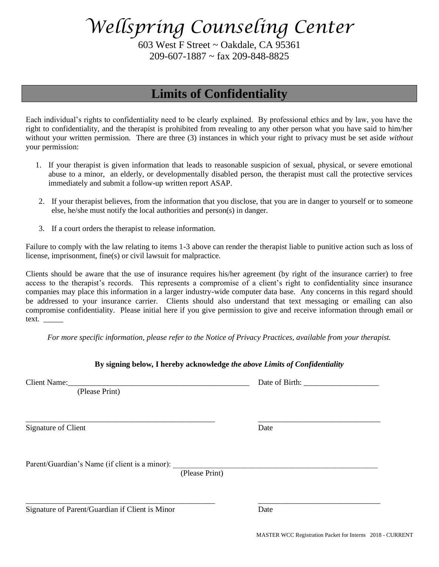603 West F Street ~ Oakdale, CA 95361  $209 - 607 - 1887 \approx \text{far } 209 - 848 - 8825$ 

## **Limits of Confidentiality**

Each individual's rights to confidentiality need to be clearly explained. By professional ethics and by law, you have the right to confidentiality, and the therapist is prohibited from revealing to any other person what you have said to him/her without your written permission. There are three (3) instances in which your right to privacy must be set aside *without* your permission:

- 1. If your therapist is given information that leads to reasonable suspicion of sexual, physical, or severe emotional abuse to a minor, an elderly, or developmentally disabled person, the therapist must call the protective services immediately and submit a follow-up written report ASAP.
- 2. If your therapist believes, from the information that you disclose, that you are in danger to yourself or to someone else, he/she must notify the local authorities and person(s) in danger.
- 3. If a court orders the therapist to release information.

Failure to comply with the law relating to items 1-3 above can render the therapist liable to punitive action such as loss of license, imprisonment, fine(s) or civil lawsuit for malpractice.

Clients should be aware that the use of insurance requires his/her agreement (by right of the insurance carrier) to free access to the therapist's records. This represents a compromise of a client's right to confidentiality since insurance companies may place this information in a larger industry-wide computer data base. Any concerns in this regard should be addressed to your insurance carrier. Clients should also understand that text messaging or emailing can also compromise confidentiality. Please initial here if you give permission to give and receive information through email or text.

*For more specific information, please refer to the Notice of Privacy Practices, available from your therapist.*

| (Please Print)                                                                    |      |
|-----------------------------------------------------------------------------------|------|
|                                                                                   |      |
| <b>Signature of Client</b>                                                        | Date |
|                                                                                   |      |
| Parent/Guardian's Name (if client is a minor): __________________________________ |      |
| (Please Print)                                                                    |      |
|                                                                                   |      |
| Signature of Parent/Guardian if Client is Minor                                   | Date |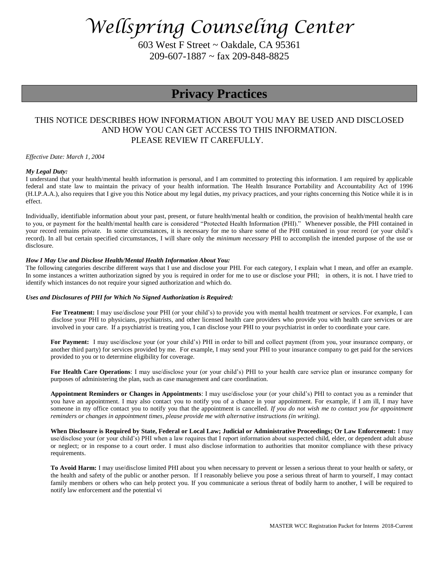603 West F Street ~ Oakdale, CA 95361  $209 - 607 - 1887 \approx \text{far } 209 - 848 - 8825$ 

### **Privacy Practices**

### THIS NOTICE DESCRIBES HOW INFORMATION ABOUT YOU MAY BE USED AND DISCLOSED AND HOW YOU CAN GET ACCESS TO THIS INFORMATION. PLEASE REVIEW IT CAREFULLY.

*Effective Date: March 1, 2004*

#### *My Legal Duty:*

I understand that your health/mental health information is personal, and I am committed to protecting this information. I am required by applicable federal and state law to maintain the privacy of your health information. The Health Insurance Portability and Accountability Act of 1996 (H.I.P.A.A.), also requires that I give you this Notice about my legal duties, my privacy practices, and your rights concerning this Notice while it is in effect.

Individually, identifiable information about your past, present, or future health/mental health or condition, the provision of health/mental health care to you, or payment for the health/mental health care is considered "Protected Health Information (PHI)." Whenever possible, the PHI contained in your record remains private. In some circumstances, it is necessary for me to share some of the PHI contained in your record (or your child's record). In all but certain specified circumstances, I will share only the *minimum necessary* PHI to accomplish the intended purpose of the use or disclosure.

#### *How I May Use and Disclose Health/Mental Health Information About You:*

The following categories describe different ways that I use and disclose your PHI. For each category, I explain what I mean, and offer an example. In some instances a written authorization signed by you is required in order for me to use or disclose your PHI; in others, it is not. I have tried to identify which instances do not require your signed authorization and which do.

#### *Uses and Disclosures of PHI for Which No Signed Authorization is Required:*

**For Treatment:** I may use/disclose your PHI (or your child's) to provide you with mental health treatment or services. For example, I can disclose your PHI to physicians, psychiatrists, and other licensed health care providers who provide you with health care services or are involved in your care. If a psychiatrist is treating you, I can disclose your PHI to your psychiatrist in order to coordinate your care.

**For Payment:** I may use/disclose your (or your child's) PHI in order to bill and collect payment (from you, your insurance company, or another third party) for services provided by me. For example, I may send your PHI to your insurance company to get paid for the services provided to you or to determine eligibility for coverage.

**For Health Care Operations**: I may use/disclose your (or your child's) PHI to your health care service plan or insurance company for purposes of administering the plan, such as case management and care coordination.

**Appointment Reminders or Changes in Appointments**: I may use/disclose your (or your child's) PHI to contact you as a reminder that you have an appointment. I may also contact you to notify you of a chance in your appointment. For example, if I am ill, I may have someone in my office contact you to notify you that the appointment is cancelled. *If you do not wish me to contact you for appointment reminders or changes in appointment times, please provide me with alternative instructions (in writing).*

**When Disclosure is Required by State, Federal or Local Law; Judicial or Administrative Proceedings; Or Law Enforcement:** I may use/disclose your (or your child's) PHI when a law requires that I report information about suspected child, elder, or dependent adult abuse or neglect; or in response to a court order. I must also disclose information to authorities that monitor compliance with these privacy requirements.

**To Avoid Harm:** I may use/disclose limited PHI about you when necessary to prevent or lessen a serious threat to your health or safety, or the health and safety of the public or another person. If I reasonably believe you pose a serious threat of harm to yourself, I may contact family members or others who can help protect you. If you communicate a serious threat of bodily harm to another, I will be required to notify law enforcement and the potential vi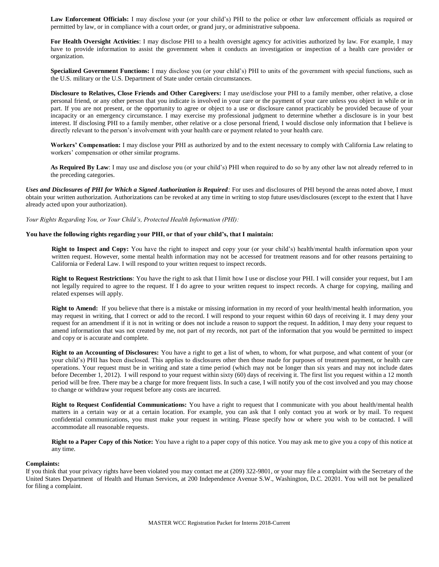Law Enforcement Officials: I may disclose your (or your child's) PHI to the police or other law enforcement officials as required or permitted by law, or in compliance with a court order, or grand jury, or administrative subpoena.

**For Health Oversight Activities**: I may disclose PHI to a health oversight agency for activities authorized by law. For example, I may have to provide information to assist the government when it conducts an investigation or inspection of a health care provider or organization.

**Specialized Government Functions:** I may disclose you (or your child's) PHI to units of the government with special functions, such as the U.S. military or the U.S. Department of State under certain circumstances.

**Disclosure to Relatives, Close Friends and Other Caregivers:** I may use/disclose your PHI to a family member, other relative, a close personal friend, or any other person that you indicate is involved in your care or the payment of your care unless you object in while or in part. If you are not present, or the opportunity to agree or object to a use or disclosure cannot practicably be provided because of your incapacity or an emergency circumstance. I may exercise my professional judgment to determine whether a disclosure is in your best interest. If disclosing PHI to a family member, other relative or a close personal friend, I would disclose only information that I believe is directly relevant to the person's involvement with your health care or payment related to your health care.

**Workers' Compensation:** I may disclose your PHI as authorized by and to the extent necessary to comply with California Law relating to workers' compensation or other similar programs.

**As Required By Law**: I may use and disclose you (or your child's) PHI when required to do so by any other law not already referred to in the preceding categories.

*Uses and Disclosures of PHI for Which a Signed Authorization is Required:* For uses and disclosures of PHI beyond the areas noted above, I must obtain your written authorization. Authorizations can be revoked at any time in writing to stop future uses/disclosures (except to the extent that I have already acted upon your authorization).

*Your Rights Regarding You, or Your Child's, Protected Health Information (PHI):* 

#### **You have the following rights regarding your PHI, or that of your child's, that I maintain:**

**Right to Inspect and Copy:** You have the right to inspect and copy your (or your child's) health/mental health information upon your written request. However, some mental health information may not be accessed for treatment reasons and for other reasons pertaining to California or Federal Law. I will respond to your written request to inspect records.

**Right to Request Restrictions**: You have the right to ask that I limit how I use or disclose your PHI. I will consider your request, but I am not legally required to agree to the request. If I do agree to your written request to inspect records. A charge for copying, mailing and related expenses will apply.

**Right to Amend:** If you believe that there is a mistake or missing information in my record of your health/mental health information, you may request in writing, that I correct or add to the record. I will respond to your request within 60 days of receiving it. I may deny your request for an amendment if it is not in writing or does not include a reason to support the request. In addition, I may deny your request to amend information that was not created by me, not part of my records, not part of the information that you would be permitted to inspect and copy or is accurate and complete.

**Right to an Accounting of Disclosures:** You have a right to get a list of when, to whom, for what purpose, and what content of your (or your child's) PHI has been disclosed. This applies to disclosures other then those made for purposes of treatment payment, or health care operations. Your request must be in writing and state a time period (which may not be longer than six years and may not include dates before December 1, 2012). I will respond to your request within sixty (60) days of receiving it. The first list you request within a 12 month period will be free. There may be a charge for more frequent lists. In such a case, I will notify you of the cost involved and you may choose to change or withdraw your request before any costs are incurred.

**Right to Request Confidential Communications:** You have a right to request that I communicate with you about health/mental health matters in a certain way or at a certain location. For example, you can ask that I only contact you at work or by mail. To request confidential communications, you must make your request in writing. Please specify how or where you wish to be contacted. I will accommodate all reasonable requests.

**Right to a Paper Copy of this Notice:** You have a right to a paper copy of this notice. You may ask me to give you a copy of this notice at any time.

#### **Complaints:**

If you think that your privacy rights have been violated you may contact me at (209) 322-9801, or your may file a complaint with the Secretary of the United States Department of Health and Human Services, at 200 Independence Avenue S.W., Washington, D.C. 20201. You will not be penalized for filing a complaint.